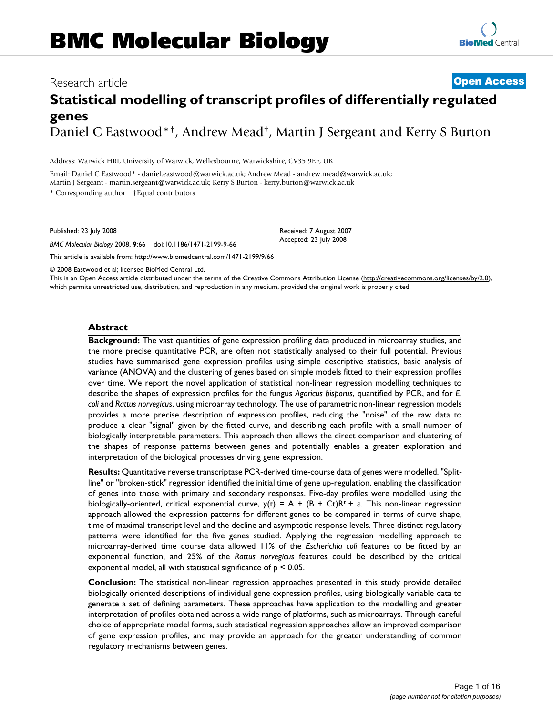# Research article **[Open Access](http://www.biomedcentral.com/info/about/charter/)**

# **[BioMed](http://www.biomedcentral.com/)** Central

# **Statistical modelling of transcript profiles of differentially regulated genes** Daniel C Eastwood\*†, Andrew Mead†, Martin J Sergeant and Kerry S Burton

Address: Warwick HRI, University of Warwick, Wellesbourne, Warwickshire, CV35 9EF, UK

Email: Daniel C Eastwood\* - daniel.eastwood@warwick.ac.uk; Andrew Mead - andrew.mead@warwick.ac.uk; Martin J Sergeant - martin.sergeant@warwick.ac.uk; Kerry S Burton - kerry.burton@warwick.ac.uk

\* Corresponding author †Equal contributors

Published: 23 July 2008

*BMC Molecular Biology* 2008, **9**:66 doi:10.1186/1471-2199-9-66

[This article is available from: http://www.biomedcentral.com/1471-2199/9/66](http://www.biomedcentral.com/1471-2199/9/66)

© 2008 Eastwood et al; licensee BioMed Central Ltd.

This is an Open Access article distributed under the terms of the Creative Commons Attribution License [\(http://creativecommons.org/licenses/by/2.0\)](http://creativecommons.org/licenses/by/2.0), which permits unrestricted use, distribution, and reproduction in any medium, provided the original work is properly cited.

Received: 7 August 2007 Accepted: 23 July 2008

#### **Abstract**

**Background:** The vast quantities of gene expression profiling data produced in microarray studies, and the more precise quantitative PCR, are often not statistically analysed to their full potential. Previous studies have summarised gene expression profiles using simple descriptive statistics, basic analysis of variance (ANOVA) and the clustering of genes based on simple models fitted to their expression profiles over time. We report the novel application of statistical non-linear regression modelling techniques to describe the shapes of expression profiles for the fungus *Agaricus bisporus*, quantified by PCR, and for *E. coli* and *Rattus norvegicus*, using microarray technology. The use of parametric non-linear regression models provides a more precise description of expression profiles, reducing the "noise" of the raw data to produce a clear "signal" given by the fitted curve, and describing each profile with a small number of biologically interpretable parameters. This approach then allows the direct comparison and clustering of the shapes of response patterns between genes and potentially enables a greater exploration and interpretation of the biological processes driving gene expression.

**Results:** Quantitative reverse transcriptase PCR-derived time-course data of genes were modelled. "Splitline" or "broken-stick" regression identified the initial time of gene up-regulation, enabling the classification of genes into those with primary and secondary responses. Five-day profiles were modelled using the biologically-oriented, critical exponential curve,  $y(t) = A + (B + Ct)R^t + \varepsilon$ . This non-linear regression approach allowed the expression patterns for different genes to be compared in terms of curve shape, time of maximal transcript level and the decline and asymptotic response levels. Three distinct regulatory patterns were identified for the five genes studied. Applying the regression modelling approach to microarray-derived time course data allowed 11% of the *Escherichia coli* features to be fitted by an exponential function, and 25% of the *Rattus norvegicus* features could be described by the critical exponential model, all with statistical significance of p < 0.05.

**Conclusion:** The statistical non-linear regression approaches presented in this study provide detailed biologically oriented descriptions of individual gene expression profiles, using biologically variable data to generate a set of defining parameters. These approaches have application to the modelling and greater interpretation of profiles obtained across a wide range of platforms, such as microarrays. Through careful choice of appropriate model forms, such statistical regression approaches allow an improved comparison of gene expression profiles, and may provide an approach for the greater understanding of common regulatory mechanisms between genes.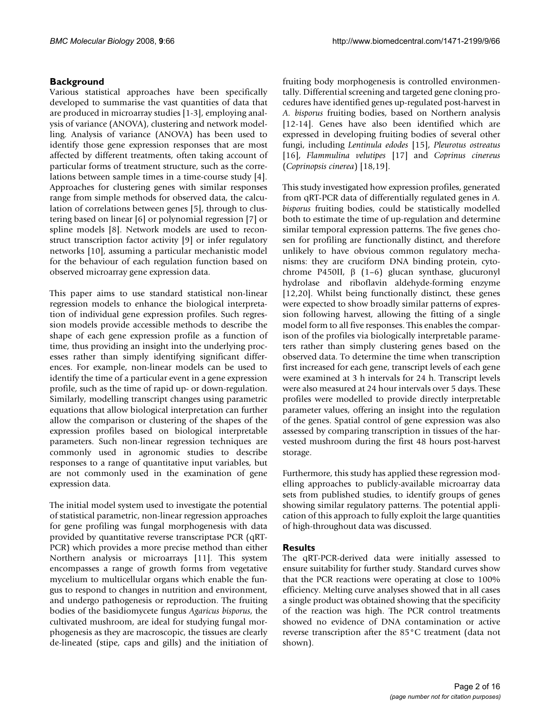# **Background**

Various statistical approaches have been specifically developed to summarise the vast quantities of data that are produced in microarray studies [[1](#page-14-0)[-3](#page-14-1)], employing analysis of variance (ANOVA), clustering and network modelling. Analysis of variance (ANOVA) has been used to identify those gene expression responses that are most affected by different treatments, often taking account of particular forms of treatment structure, such as the correlations between sample times in a time-course study [[4](#page-14-2)]. Approaches for clustering genes with similar responses range from simple methods for observed data, the calculation of correlations between genes [\[5\]](#page-14-3), through to clustering based on linear [[6](#page-14-4)] or polynomial regression [[7](#page-15-0)] or spline models [[8](#page-15-1)]. Network models are used to reconstruct transcription factor activity [[9](#page-15-2)] or infer regulatory networks [\[10](#page-15-3)], assuming a particular mechanistic model for the behaviour of each regulation function based on observed microarray gene expression data.

This paper aims to use standard statistical non-linear regression models to enhance the biological interpretation of individual gene expression profiles. Such regression models provide accessible methods to describe the shape of each gene expression profile as a function of time, thus providing an insight into the underlying processes rather than simply identifying significant differences. For example, non-linear models can be used to identify the time of a particular event in a gene expression profile, such as the time of rapid up- or down-regulation. Similarly, modelling transcript changes using parametric equations that allow biological interpretation can further allow the comparison or clustering of the shapes of the expression profiles based on biological interpretable parameters. Such non-linear regression techniques are commonly used in agronomic studies to describe responses to a range of quantitative input variables, but are not commonly used in the examination of gene expression data.

The initial model system used to investigate the potential of statistical parametric, non-linear regression approaches for gene profiling was fungal morphogenesis with data provided by quantitative reverse transcriptase PCR (qRT-PCR) which provides a more precise method than either Northern analysis or microarrays [[11](#page-15-4)]. This system encompasses a range of growth forms from vegetative mycelium to multicellular organs which enable the fungus to respond to changes in nutrition and environment, and undergo pathogenesis or reproduction. The fruiting bodies of the basidiomycete fungus *Agaricus bisporus*, the cultivated mushroom, are ideal for studying fungal morphogenesis as they are macroscopic, the tissues are clearly de-lineated (stipe, caps and gills) and the initiation of fruiting body morphogenesis is controlled environmentally. Differential screening and targeted gene cloning procedures have identified genes up-regulated post-harvest in *A. bisporus* fruiting bodies, based on Northern analysis [[12](#page-15-5)[-14](#page-15-6)]. Genes have also been identified which are expressed in developing fruiting bodies of several other fungi, including *Lentinula edodes* [[15\]](#page-15-7), *Pleurotus ostreatus* [[16](#page-15-8)], *Flammulina velutipes* [[17](#page-15-9)] and *Coprinus cinereus* (*Coprinopsis cinerea*) [\[18](#page-15-10)[,19](#page-15-11)].

This study investigated how expression profiles, generated from qRT-PCR data of differentially regulated genes in *A. bisporus* fruiting bodies, could be statistically modelled both to estimate the time of up-regulation and determine similar temporal expression patterns. The five genes chosen for profiling are functionally distinct, and therefore unlikely to have obvious common regulatory mechanisms: they are cruciform DNA binding protein, cytochrome P450II, β (1–6) glucan synthase, glucuronyl hydrolase and riboflavin aldehyde-forming enzyme [[12](#page-15-5),[20\]](#page-15-12). Whilst being functionally distinct, these genes were expected to show broadly similar patterns of expression following harvest, allowing the fitting of a single model form to all five responses. This enables the comparison of the profiles via biologically interpretable parameters rather than simply clustering genes based on the observed data. To determine the time when transcription first increased for each gene, transcript levels of each gene were examined at 3 h intervals for 24 h. Transcript levels were also measured at 24 hour intervals over 5 days. These profiles were modelled to provide directly interpretable parameter values, offering an insight into the regulation of the genes. Spatial control of gene expression was also assessed by comparing transcription in tissues of the harvested mushroom during the first 48 hours post-harvest storage.

Furthermore, this study has applied these regression modelling approaches to publicly-available microarray data sets from published studies, to identify groups of genes showing similar regulatory patterns. The potential application of this approach to fully exploit the large quantities of high-throughout data was discussed.

#### **Results**

The qRT-PCR-derived data were initially assessed to ensure suitability for further study. Standard curves show that the PCR reactions were operating at close to 100% efficiency. Melting curve analyses showed that in all cases a single product was obtained showing that the specificity of the reaction was high. The PCR control treatments showed no evidence of DNA contamination or active reverse transcription after the 85°C treatment (data not shown).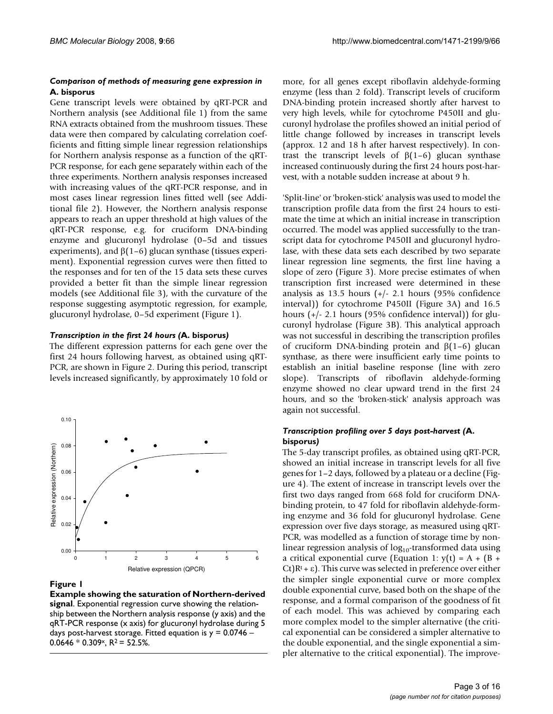#### *Comparison of methods of measuring gene expression in*  **A. bisporus**

Gene transcript levels were obtained by qRT-PCR and Northern analysis (see Additional file [1\)](#page-14-5) from the same RNA extracts obtained from the mushroom tissues. These data were then compared by calculating correlation coefficients and fitting simple linear regression relationships for Northern analysis response as a function of the qRT-PCR response, for each gene separately within each of the three experiments. Northern analysis responses increased with increasing values of the qRT-PCR response, and in most cases linear regression lines fitted well (see Additional file [2\)](#page-14-6). However, the Northern analysis response appears to reach an upper threshold at high values of the qRT-PCR response, e.g. for cruciform DNA-binding enzyme and glucuronyl hydrolase (0–5d and tissues experiments), and  $\beta(1-6)$  glucan synthase (tissues experiment). Exponential regression curves were then fitted to the responses and for ten of the 15 data sets these curves provided a better fit than the simple linear regression models (see Additional file [3\)](#page-14-7), with the curvature of the response suggesting asymptotic regression, for example, glucuronyl hydrolase, 0–5d experiment (Figure [1](#page-2-0)).

#### *Transcription in the first 24 hours (***A. bisporus***)*

The different expression patterns for each gene over the first 24 hours following harvest, as obtained using qRT-PCR, are shown in Figure [2.](#page-3-0) During this period, transcript levels increased significantly, by approximately 10 fold or

<span id="page-2-0"></span>

#### **Figure 1**

**Example showing the saturation of Northern-derived signal**. Exponential regression curve showing the relationship between the Northern analysis response (y axis) and the qRT-PCR response (x axis) for glucuronyl hydrolase during 5 days post-harvest storage. Fitted equation is  $y = 0.0746 -$ 0.0646  $*$  0.309 $\times$ , R<sup>2</sup> = 52.5 $\%$ .

more, for all genes except riboflavin aldehyde-forming enzyme (less than 2 fold). Transcript levels of cruciform DNA-binding protein increased shortly after harvest to very high levels, while for cytochrome P450II and glucuronyl hydrolase the profiles showed an initial period of little change followed by increases in transcript levels (approx. 12 and 18 h after harvest respectively). In contrast the transcript levels of β(1–6) glucan synthase increased continuously during the first 24 hours post-harvest, with a notable sudden increase at about 9 h.

'Split-line' or 'broken-stick' analysis was used to model the transcription profile data from the first 24 hours to estimate the time at which an initial increase in transcription occurred. The model was applied successfully to the transcript data for cytochrome P450II and glucuronyl hydrolase, with these data sets each described by two separate linear regression line segments, the first line having a slope of zero (Figure [3\)](#page-4-0). More precise estimates of when transcription first increased were determined in these analysis as 13.5 hours (+/- 2.1 hours (95% confidence interval)) for cytochrome P450II (Figure [3](#page-4-0)A) and 16.5 hours (+/- 2.1 hours (95% confidence interval)) for glucuronyl hydrolase (Figure [3B](#page-4-0)). This analytical approach was not successful in describing the transcription profiles of cruciform DNA-binding protein and β(1–6) glucan synthase, as there were insufficient early time points to establish an initial baseline response (line with zero slope). Transcripts of riboflavin aldehyde-forming enzyme showed no clear upward trend in the first 24 hours, and so the 'broken-stick' analysis approach was again not successful.

#### *Transcription profiling over 5 days post-harvest (***A. bisporus***)*

The 5-day transcript profiles, as obtained using qRT-PCR, showed an initial increase in transcript levels for all five genes for 1–2 days, followed by a plateau or a decline (Figure [4\)](#page-5-0). The extent of increase in transcript levels over the first two days ranged from 668 fold for cruciform DNAbinding protein, to 47 fold for riboflavin aldehyde-forming enzyme and 36 fold for glucuronyl hydrolase. Gene expression over five days storage, as measured using qRT-PCR, was modelled as a function of storage time by nonlinear regression analysis of  $log_{10}$ -transformed data using a critical exponential curve (Equation 1:  $y(t) = A + (B +$ Ct) $R^t$  +  $\varepsilon$ ). This curve was selected in preference over either the simpler single exponential curve or more complex double exponential curve, based both on the shape of the response, and a formal comparison of the goodness of fit of each model. This was achieved by comparing each more complex model to the simpler alternative (the critical exponential can be considered a simpler alternative to the double exponential, and the single exponential a simpler alternative to the critical exponential). The improve-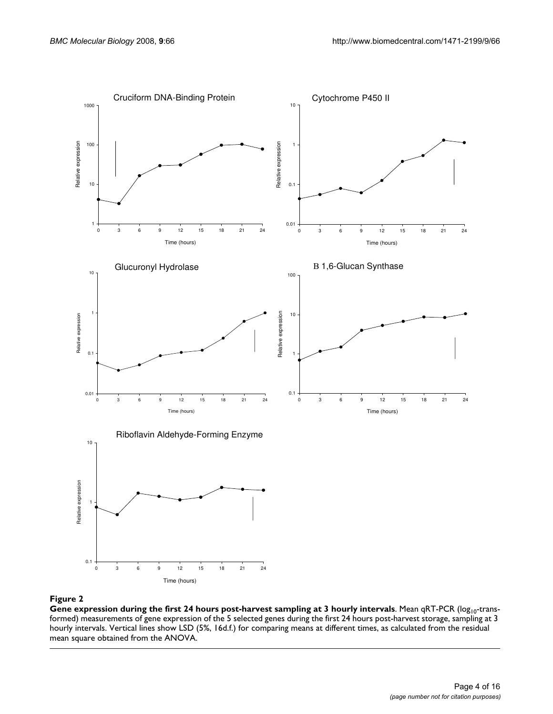<span id="page-3-0"></span>

#### $$

Gene expression during the first 24 hours post-harvest sampling at 3 hourly intervals. Mean qRT-PCR (log<sub>10</sub>-transformed) measurements of gene expression of the 5 selected genes during the first 24 hours post-harvest storage, sampling at 3 hourly intervals. Vertical lines show LSD (5%, 16d.f.) for comparing means at different times, as calculated from the residual mean square obtained from the ANOVA.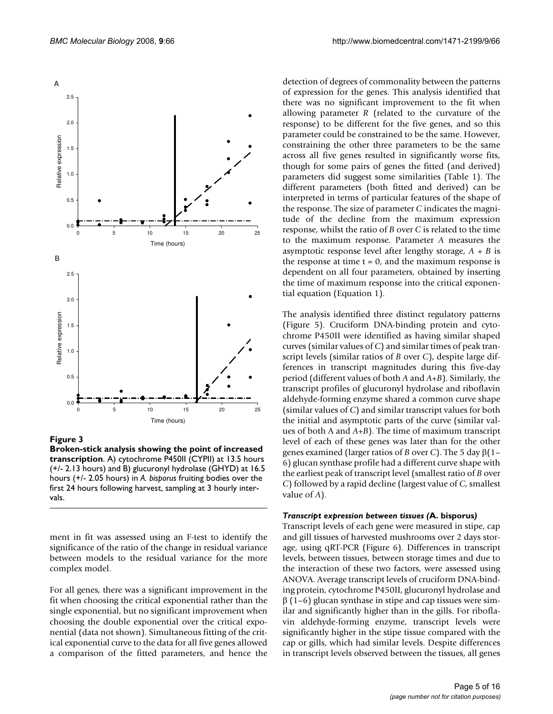<span id="page-4-0"></span>

**Broken-stick analysis showing the point of increased transcription**. A) cytochrome P450II (CYPII) at 13.5 hours (+/- 2.13 hours) and B) glucuronyl hydrolase (GHYD) at 16.5 hours (+/- 2.05 hours) in *A. bisporus* fruiting bodies over the first 24 hours following harvest, sampling at 3 hourly intervals.

ment in fit was assessed using an F-test to identify the significance of the ratio of the change in residual variance between models to the residual variance for the more complex model.

For all genes, there was a significant improvement in the fit when choosing the critical exponential rather than the single exponential, but no significant improvement when choosing the double exponential over the critical exponential (data not shown). Simultaneous fitting of the critical exponential curve to the data for all five genes allowed a comparison of the fitted parameters, and hence the detection of degrees of commonality between the patterns of expression for the genes. This analysis identified that there was no significant improvement to the fit when allowing parameter *R* (related to the curvature of the response) to be different for the five genes, and so this parameter could be constrained to be the same. However, constraining the other three parameters to be the same across all five genes resulted in significantly worse fits, though for some pairs of genes the fitted (and derived) parameters did suggest some similarities (Table [1](#page-6-0)). The different parameters (both fitted and derived) can be interpreted in terms of particular features of the shape of the response. The size of parameter *C* indicates the magnitude of the decline from the maximum expression response, whilst the ratio of *B* over *C* is related to the time to the maximum response. Parameter *A* measures the asymptotic response level after lengthy storage, *A* + *B* is the response at time  $t = 0$ , and the maximum response is dependent on all four parameters, obtained by inserting the time of maximum response into the critical exponential equation (Equation 1).

The analysis identified three distinct regulatory patterns (Figure [5\)](#page-6-1). Cruciform DNA-binding protein and cytochrome P450II were identified as having similar shaped curves (similar values of *C*) and similar times of peak transcript levels (similar ratios of *B* over *C*), despite large differences in transcript magnitudes during this five-day period (different values of both *A* and *A*+*B*). Similarly, the transcript profiles of glucuronyl hydrolase and riboflavin aldehyde-forming enzyme shared a common curve shape (similar values of *C*) and similar transcript values for both the initial and asymptotic parts of the curve (similar values of both A and *A*+*B*). The time of maximum transcript level of each of these genes was later than for the other genes examined (larger ratios of *B* over *C*). The 5 day β(1– 6) glucan synthase profile had a different curve shape with the earliest peak of transcript level (smallest ratio of *B* over *C*) followed by a rapid decline (largest value of *C*, smallest value of *A*).

#### *Transcript expression between tissues (***A. bisporus***)*

Transcript levels of each gene were measured in stipe, cap and gill tissues of harvested mushrooms over 2 days storage, using qRT-PCR (Figure [6\)](#page-7-0). Differences in transcript levels, between tissues, between storage times and due to the interaction of these two factors, were assessed using ANOVA. Average transcript levels of cruciform DNA-binding protein, cytochrome P450II, glucuronyl hydrolase and  $β(1-6)$  glucan synthase in stipe and cap tissues were similar and significantly higher than in the gills. For riboflavin aldehyde-forming enzyme, transcript levels were significantly higher in the stipe tissue compared with the cap or gills, which had similar levels. Despite differences in transcript levels observed between the tissues, all genes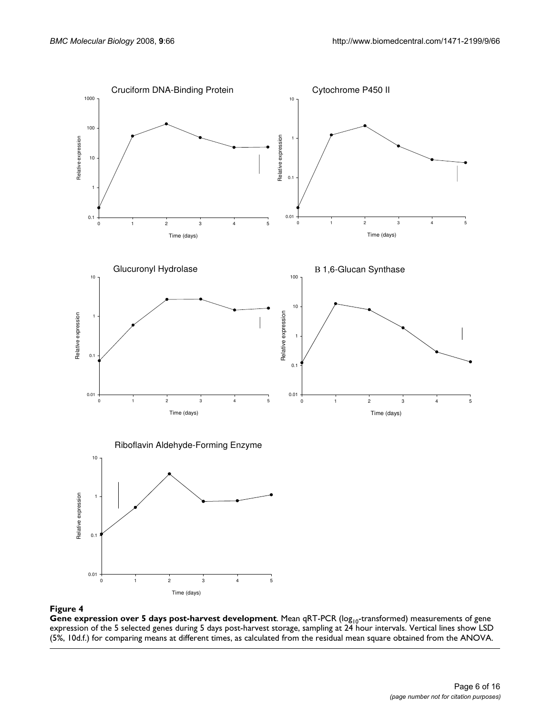<span id="page-5-0"></span>

Gene expression over 5 days post-harvest development. Mean qRT-PCR (log<sub>10</sub>-transformed) measurements of gene expression of the 5 selected genes during 5 days post-harvest storage, sampling at 24 hour intervals. Vertical lines show LSD (5%, 10d.f.) for comparing means at different times, as calculated from the residual mean square obtained from the ANOVA.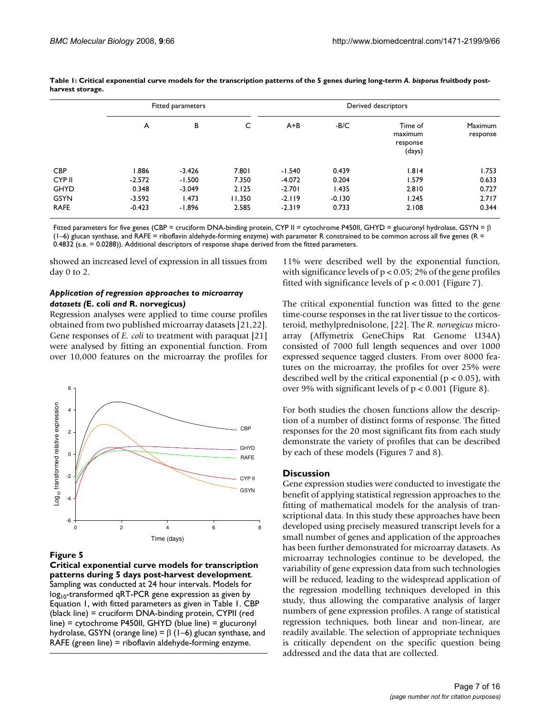|             |          | Fitted parameters |        |          | Derived descriptors |                                          |                     |
|-------------|----------|-------------------|--------|----------|---------------------|------------------------------------------|---------------------|
|             | A        | в                 | C      | $A + B$  | $-B/C$              | Time of<br>maximum<br>response<br>(days) | Maximum<br>response |
| <b>CBP</b>  | 1.886    | $-3.426$          | 7.801  | $-1.540$ | 0.439               | 1.814                                    | 1.753               |
| CYP II      | $-2.572$ | $-1.500$          | 7.350  | $-4.072$ | 0.204               | 1.579                                    | 0.633               |
| <b>GHYD</b> | 0.348    | $-3.049$          | 2.125  | $-2.701$ | 1.435               | 2.810                                    | 0.727               |
| <b>GSYN</b> | $-3.592$ | 1.473             | 11.350 | $-2.119$ | $-0.130$            | 1.245                                    | 2.717               |
| <b>RAFE</b> | $-0.423$ | $-1.896$          | 2.585  | $-2.319$ | 0.733               | 2.108                                    | 0.344               |

<span id="page-6-0"></span>**Table 1: Critical exponential curve models for the transcription patterns of the 5 genes during long-term** *A. bisporus* **fruitbody postharvest storage.** 

Fitted parameters for five genes (CBP = cruciform DNA-binding protein, CYP II = cytochrome P450II, GHYD = glucuronyl hydrolase, GSYN =  $\beta$ (1–6) glucan synthase, and RAFE = riboflavin aldehyde-forming enzyme) with parameter R constrained to be common across all five genes (R = 0.4832 (s.e. = 0.0288)). Additional descriptors of response shape derived from the fitted parameters.

showed an increased level of expression in all tissues from day 0 to 2.

#### *Application of regression approaches to microarray datasets (***E. coli** *and* **R. norvegicus***)*

Regression analyses were applied to time course profiles obtained from two published microarray datasets [[21](#page-15-13)[,22](#page-15-14)]. Gene responses of *E. coli* to treatment with paraquat [[21\]](#page-15-13) were analysed by fitting an exponential function. From over 10,000 features on the microarray the profiles for

<span id="page-6-1"></span>

#### Figure 5

**Critical exponential curve models for transcription patterns during 5 days post-harvest development**. Sampling was conducted at 24 hour intervals. Models for  $log_{10}$ -transformed qRT-PCR gene expression as given by Equation 1, with fitted parameters as given in Table 1. CBP (black line) = cruciform DNA-binding protein, CYPII (red line) = cytochrome P450II, GHYD (blue line) = glucuronyl hydrolase, GSYN (orange line) =  $\beta$  (1–6) glucan synthase, and RAFE (green line) = riboflavin aldehyde-forming enzyme.

11% were described well by the exponential function, with significance levels of  $p < 0.05$ ; 2% of the gene profiles fitted with significance levels of p < 0.001 (Figure [7\)](#page-8-0).

The critical exponential function was fitted to the gene time-course responses in the rat liver tissue to the corticosteroid, methylprednisolone, [\[22](#page-15-14)]. The *R. norvegicus* microarray (Affymetrix GeneChips Rat Genome U34A) consisted of 7000 full length sequences and over 1000 expressed sequence tagged clusters. From over 8000 features on the microarray, the profiles for over 25% were described well by the critical exponential ( $p < 0.05$ ), with over 9% with significant levels of p < 0.001 (Figure [8\)](#page-9-0).

For both studies the chosen functions allow the description of a number of distinct forms of response. The fitted responses for the 20 most significant fits from each study demonstrate the variety of profiles that can be described by each of these models (Figures [7](#page-8-0) and [8\)](#page-9-0).

#### **Discussion**

Gene expression studies were conducted to investigate the benefit of applying statistical regression approaches to the fitting of mathematical models for the analysis of transcriptional data. In this study these approaches have been developed using precisely measured transcript levels for a small number of genes and application of the approaches has been further demonstrated for microarray datasets. As microarray technologies continue to be developed, the variability of gene expression data from such technologies will be reduced, leading to the widespread application of the regression modelling techniques developed in this study, thus allowing the comparative analysis of larger numbers of gene expression profiles. A range of statistical regression techniques, both linear and non-linear, are readily available. The selection of appropriate techniques is critically dependent on the specific question being addressed and the data that are collected.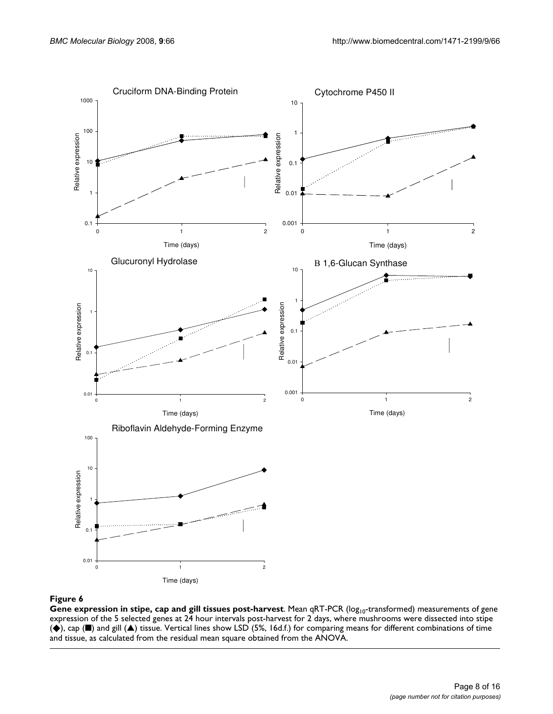<span id="page-7-0"></span>

Gene expression in stipe, cap and gill tissues post-harvest. Mean qRT-PCR (log<sub>10</sub>-transformed) measurements of gene expression of the 5 selected genes at 24 hour intervals post-harvest for 2 days, where mushrooms were dissected into stipe (◆), cap (■) and gill (▲) tissue. Vertical lines show LSD (5%, 16d.f.) for comparing means for different combinations of time and tissue, as calculated from the residual mean square obtained from the ANOVA.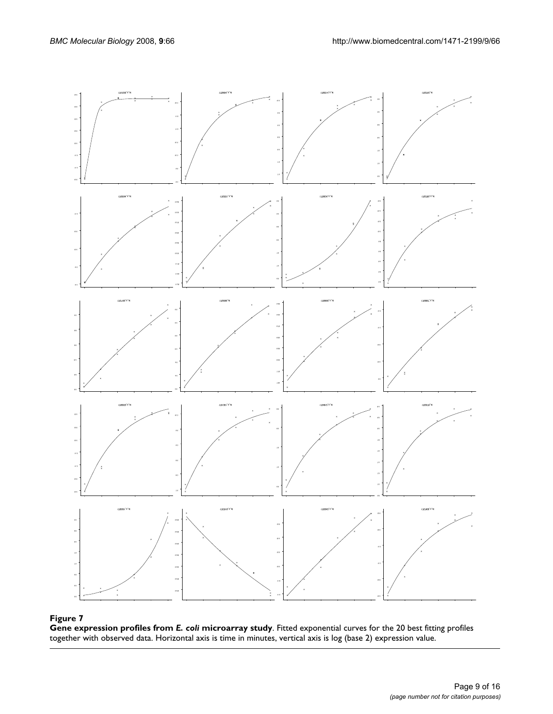<span id="page-8-0"></span>

**Gene expression profiles from** *E. coli* **microarray study**. Fitted exponential curves for the 20 best fitting profiles together with observed data. Horizontal axis is time in minutes, vertical axis is log (base 2) expression value.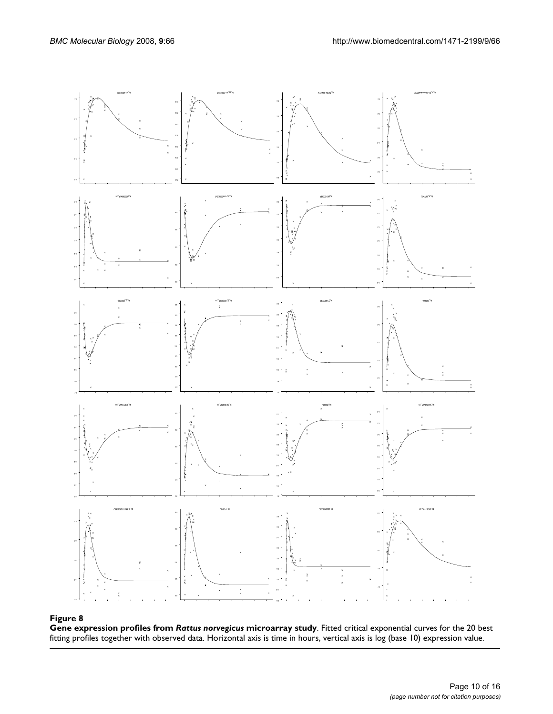<span id="page-9-0"></span>

**Gene expression profiles from** *Rattus norvegicus* **microarray study**. Fitted critical exponential curves for the 20 best fitting profiles together with observed data. Horizontal axis is time in hours, vertical axis is log (base 10) expression value.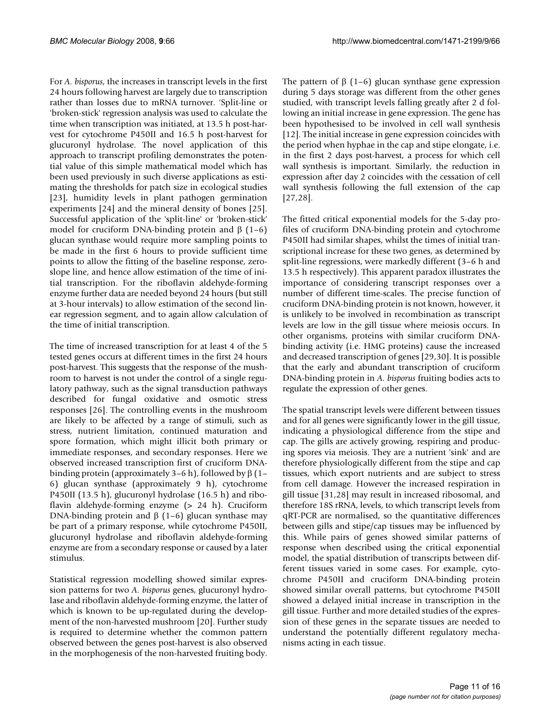For *A. bisporus*, the increases in transcript levels in the first 24 hours following harvest are largely due to transcription rather than losses due to mRNA turnover. 'Split-line or 'broken-stick' regression analysis was used to calculate the time when transcription was initiated, at 13.5 h post-harvest for cytochrome P450II and 16.5 h post-harvest for glucuronyl hydrolase. The novel application of this approach to transcript profiling demonstrates the potential value of this simple mathematical model which has been used previously in such diverse applications as estimating the thresholds for patch size in ecological studies [[23](#page-15-15)], humidity levels in plant pathogen germination experiments [[24\]](#page-15-16) and the mineral density of bones [\[25](#page-15-17)]. Successful application of the 'split-line' or 'broken-stick' model for cruciform DNA-binding protein and β (1–6) glucan synthase would require more sampling points to be made in the first 6 hours to provide sufficient time points to allow the fitting of the baseline response, zeroslope line, and hence allow estimation of the time of initial transcription. For the riboflavin aldehyde-forming enzyme further data are needed beyond 24 hours (but still at 3-hour intervals) to allow estimation of the second linear regression segment, and to again allow calculation of the time of initial transcription.

The time of increased transcription for at least 4 of the 5 tested genes occurs at different times in the first 24 hours post-harvest. This suggests that the response of the mushroom to harvest is not under the control of a single regulatory pathway, such as the signal transduction pathways described for fungal oxidative and osmotic stress responses [\[26](#page-15-18)]. The controlling events in the mushroom are likely to be affected by a range of stimuli, such as stress, nutrient limitation, continued maturation and spore formation, which might illicit both primary or immediate responses, and secondary responses. Here we observed increased transcription first of cruciform DNAbinding protein (approximately 3–6 h), followed by  $\beta$  (1– 6) glucan synthase (approximately 9 h), cytochrome P450II (13.5 h), glucuronyl hydrolase (16.5 h) and riboflavin aldehyde-forming enzyme (> 24 h). Cruciform DNA-binding protein and  $β$  (1–6) glucan synthase may be part of a primary response, while cytochrome P450II, glucuronyl hydrolase and riboflavin aldehyde-forming enzyme are from a secondary response or caused by a later stimulus.

Statistical regression modelling showed similar expression patterns for two *A. bisporus* genes, glucuronyl hydrolase and riboflavin aldehyde-forming enzyme, the latter of which is known to be up-regulated during the development of the non-harvested mushroom [\[20](#page-15-12)]. Further study is required to determine whether the common pattern observed between the genes post-harvest is also observed in the morphogenesis of the non-harvested fruiting body.

The pattern of  $β$  (1–6) glucan synthase gene expression during 5 days storage was different from the other genes studied, with transcript levels falling greatly after 2 d following an initial increase in gene expression. The gene has been hypothesised to be involved in cell wall synthesis [[12](#page-15-5)]. The initial increase in gene expression coincides with the period when hyphae in the cap and stipe elongate, i.e. in the first 2 days post-harvest, a process for which cell wall synthesis is important. Similarly, the reduction in expression after day 2 coincides with the cessation of cell wall synthesis following the full extension of the cap [[27](#page-15-19),[28\]](#page-15-20).

The fitted critical exponential models for the 5-day profiles of cruciform DNA-binding protein and cytochrome P450II had similar shapes, whilst the times of initial transcriptional increase for these two genes, as determined by split-line regressions, were markedly different (3–6 h and 13.5 h respectively). This apparent paradox illustrates the importance of considering transcript responses over a number of different time-scales. The precise function of cruciform DNA-binding protein is not known, however, it is unlikely to be involved in recombination as transcript levels are low in the gill tissue where meiosis occurs. In other organisms, proteins with similar cruciform DNAbinding activity (i.e. HMG proteins) cause the increased and decreased transcription of genes [[29](#page-15-21)[,30](#page-15-22)]. It is possible that the early and abundant transcription of cruciform DNA-binding protein in *A. bisporus* fruiting bodies acts to regulate the expression of other genes.

The spatial transcript levels were different between tissues and for all genes were significantly lower in the gill tissue, indicating a physiological difference from the stipe and cap. The gills are actively growing, respiring and producing spores via meiosis. They are a nutrient 'sink' and are therefore physiologically different from the stipe and cap tissues, which export nutrients and are subject to stress from cell damage. However the increased respiration in gill tissue [[31](#page-15-23)[,28](#page-15-20)] may result in increased ribosomal, and therefore 18S rRNA, levels, to which transcript levels from qRT-PCR are normalised, so the quantitative differences between gills and stipe/cap tissues may be influenced by this. While pairs of genes showed similar patterns of response when described using the critical exponential model, the spatial distribution of transcripts between different tissues varied in some cases. For example, cytochrome P450II and cruciform DNA-binding protein showed similar overall patterns, but cytochrome P450II showed a delayed initial increase in transcription in the gill tissue. Further and more detailed studies of the expression of these genes in the separate tissues are needed to understand the potentially different regulatory mechanisms acting in each tissue.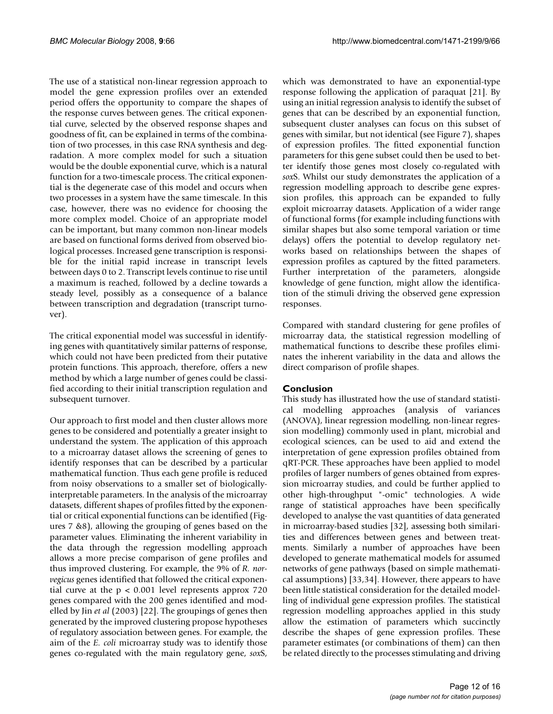The use of a statistical non-linear regression approach to model the gene expression profiles over an extended period offers the opportunity to compare the shapes of the response curves between genes. The critical exponential curve, selected by the observed response shapes and goodness of fit, can be explained in terms of the combination of two processes, in this case RNA synthesis and degradation. A more complex model for such a situation would be the double exponential curve, which is a natural function for a two-timescale process. The critical exponential is the degenerate case of this model and occurs when two processes in a system have the same timescale. In this case, however, there was no evidence for choosing the more complex model. Choice of an appropriate model can be important, but many common non-linear models are based on functional forms derived from observed biological processes. Increased gene transcription is responsible for the initial rapid increase in transcript levels between days 0 to 2. Transcript levels continue to rise until a maximum is reached, followed by a decline towards a steady level, possibly as a consequence of a balance between transcription and degradation (transcript turnover).

The critical exponential model was successful in identifying genes with quantitatively similar patterns of response, which could not have been predicted from their putative protein functions. This approach, therefore, offers a new method by which a large number of genes could be classified according to their initial transcription regulation and subsequent turnover.

Our approach to first model and then cluster allows more genes to be considered and potentially a greater insight to understand the system. The application of this approach to a microarray dataset allows the screening of genes to identify responses that can be described by a particular mathematical function. Thus each gene profile is reduced from noisy observations to a smaller set of biologicallyinterpretable parameters. In the analysis of the microarray datasets, different shapes of profiles fitted by the exponential or critical exponential functions can be identified (Figures [7](#page-8-0) &[8](#page-9-0)), allowing the grouping of genes based on the parameter values. Eliminating the inherent variability in the data through the regression modelling approach allows a more precise comparison of gene profiles and thus improved clustering. For example, the 9% of *R. norvegicus* genes identified that followed the critical exponential curve at the  $p < 0.001$  level represents approx 720 genes compared with the 200 genes identified and modelled by Jin *et al* (2003) [\[22\]](#page-15-14). The groupings of genes then generated by the improved clustering propose hypotheses of regulatory association between genes. For example, the aim of the *E. coli* microarray study was to identify those genes co-regulated with the main regulatory gene, *sox*S,

which was demonstrated to have an exponential-type response following the application of paraquat [\[21\]](#page-15-13). By using an initial regression analysis to identify the subset of genes that can be described by an exponential function, subsequent cluster analyses can focus on this subset of genes with similar, but not identical (see Figure [7](#page-8-0)), shapes of expression profiles. The fitted exponential function parameters for this gene subset could then be used to better identify those genes most closely co-regulated with *sox*S. Whilst our study demonstrates the application of a regression modelling approach to describe gene expression profiles, this approach can be expanded to fully exploit microarray datasets. Application of a wider range of functional forms (for example including functions with similar shapes but also some temporal variation or time delays) offers the potential to develop regulatory networks based on relationships between the shapes of expression profiles as captured by the fitted parameters. Further interpretation of the parameters, alongside knowledge of gene function, might allow the identification of the stimuli driving the observed gene expression responses.

Compared with standard clustering for gene profiles of microarray data, the statistical regression modelling of mathematical functions to describe these profiles eliminates the inherent variability in the data and allows the direct comparison of profile shapes.

# **Conclusion**

This study has illustrated how the use of standard statistical modelling approaches (analysis of variances (ANOVA), linear regression modelling, non-linear regression modelling) commonly used in plant, microbial and ecological sciences, can be used to aid and extend the interpretation of gene expression profiles obtained from qRT-PCR. These approaches have been applied to model profiles of larger numbers of genes obtained from expression microarray studies, and could be further applied to other high-throughput "-omic" technologies. A wide range of statistical approaches have been specifically developed to analyse the vast quantities of data generated in microarray-based studies [[32\]](#page-15-24), assessing both similarities and differences between genes and between treatments. Similarly a number of approaches have been developed to generate mathematical models for assumed networks of gene pathways (based on simple mathematical assumptions) [\[33](#page-15-25)[,34](#page-15-26)]. However, there appears to have been little statistical consideration for the detailed modelling of individual gene expression profiles. The statistical regression modelling approaches applied in this study allow the estimation of parameters which succinctly describe the shapes of gene expression profiles. These parameter estimates (or combinations of them) can then be related directly to the processes stimulating and driving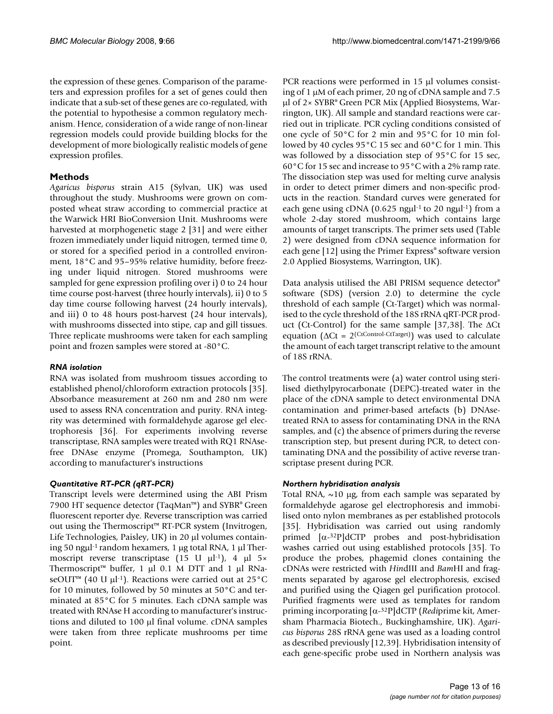the expression of these genes. Comparison of the parameters and expression profiles for a set of genes could then indicate that a sub-set of these genes are co-regulated, with the potential to hypothesise a common regulatory mechanism. Hence, consideration of a wide range of non-linear regression models could provide building blocks for the development of more biologically realistic models of gene expression profiles.

# **Methods**

*Agaricus bisporus* strain A15 (Sylvan, UK) was used throughout the study. Mushrooms were grown on composted wheat straw according to commercial practice at the Warwick HRI BioConversion Unit. Mushrooms were harvested at morphogenetic stage 2 [\[31](#page-15-23)] and were either frozen immediately under liquid nitrogen, termed time 0, or stored for a specified period in a controlled environment, 18°C and 95–95% relative humidity, before freezing under liquid nitrogen. Stored mushrooms were sampled for gene expression profiling over i) 0 to 24 hour time course post-harvest (three hourly intervals), ii) 0 to 5 day time course following harvest (24 hourly intervals), and iii) 0 to 48 hours post-harvest (24 hour intervals), with mushrooms dissected into stipe, cap and gill tissues. Three replicate mushrooms were taken for each sampling point and frozen samples were stored at -80°C.

#### *RNA isolation*

RNA was isolated from mushroom tissues according to established phenol/chloroform extraction protocols [\[35](#page-15-27)]. Absorbance measurement at 260 nm and 280 nm were used to assess RNA concentration and purity. RNA integrity was determined with formaldehyde agarose gel electrophoresis [[36\]](#page-15-28). For experiments involving reverse transcriptase, RNA samples were treated with RQ1 RNAsefree DNAse enzyme (Promega, Southampton, UK) according to manufacturer's instructions

# *Quantitative RT-PCR (qRT-PCR)*

Transcript levels were determined using the ABI Prism 7900 HT sequence detector (TaqMan™) and SYBR® Green fluorescent reporter dye. Reverse transcription was carried out using the Thermoscript™ RT-PCR system (Invitrogen, Life Technologies, Paisley, UK) in 20 μl volumes containing 50 ngμl-1 random hexamers, 1 μg total RNA, 1 μl Thermoscript reverse transcriptase (15 U μl-1), 4 μl 5× Thermoscript™ buffer, 1 μl 0.1 M DTT and 1 μl RNaseOUT<sup>™</sup> (40 U µl<sup>-1</sup>). Reactions were carried out at 25 °C for 10 minutes, followed by 50 minutes at 50°C and terminated at 85°C for 5 minutes. Each cDNA sample was treated with RNAse H according to manufacturer's instructions and diluted to 100 μl final volume. cDNA samples were taken from three replicate mushrooms per time point.

PCR reactions were performed in 15 μl volumes consisting of 1 μM of each primer, 20 ng of cDNA sample and 7.5 μl of 2× SYBR® Green PCR Mix (Applied Biosystems, Warrington, UK). All sample and standard reactions were carried out in triplicate. PCR cycling conditions consisted of one cycle of 50°C for 2 min and 95°C for 10 min followed by 40 cycles 95°C 15 sec and 60°C for 1 min. This was followed by a dissociation step of 95°C for 15 sec, 60°C for 15 sec and increase to 95°C with a 2% ramp rate. The dissociation step was used for melting curve analysis in order to detect primer dimers and non-specific products in the reaction. Standard curves were generated for each gene using cDNA (0.625 ngµ $l$ -1 to 20 ngµ $l$ -1) from a whole 2-day stored mushroom, which contains large amounts of target transcripts. The primer sets used (Table [2](#page-13-0)) were designed from cDNA sequence information for each gene [\[12](#page-15-5)] using the Primer Express<sup>®</sup> software version 2.0 Applied Biosystems, Warrington, UK).

Data analysis utilised the ABI PRISM sequence detector® software (SDS) (version 2.0) to determine the cycle threshold of each sample (Ct-Target) which was normalised to the cycle threshold of the 18S rRNA qRT-PCR product (Ct-Control) for the same sample [[37](#page-15-29),[38\]](#page-15-30). The ΔCt equation ( $\Delta$ Ct = 2(CtControl-CtTarget)) was used to calculate the amount of each target transcript relative to the amount of 18S rRNA.

The control treatments were (a) water control using sterilised diethylpyrocarbonate (DEPC)-treated water in the place of the cDNA sample to detect environmental DNA contamination and primer-based artefacts (b) DNAsetreated RNA to assess for contaminating DNA in the RNA samples, and (c) the absence of primers during the reverse transcription step, but present during PCR, to detect contaminating DNA and the possibility of active reverse transcriptase present during PCR.

# *Northern hybridisation analysis*

Total RNA,  $\sim$ 10 μg, from each sample was separated by formaldehyde agarose gel electrophoresis and immobilised onto nylon membranes as per established protocols [[35](#page-15-27)]. Hybridisation was carried out using randomly primed [α-32P]dCTP probes and post-hybridisation washes carried out using established protocols [\[35](#page-15-27)]. To produce the probes, phagemid clones containing the cDNAs were restricted with *Hin*dIII and *Bam*HI and fragments separated by agarose gel electrophoresis, excised and purified using the Qiagen gel purification protocol. Purified fragments were used as templates for random priming incorporating [α-32P]dCTP (*Redi*prime kit, Amersham Pharmacia Biotech., Buckinghamshire, UK). *Agaricus bisporus* 28S rRNA gene was used as a loading control as described previously [\[12](#page-15-5),[39\]](#page-15-31). Hybridisation intensity of each gene-specific probe used in Northern analysis was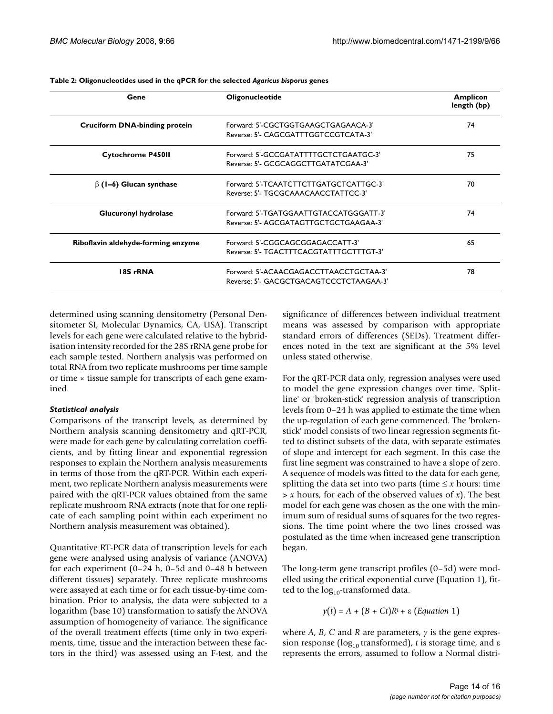| Gene                                 | Oligonucleotide                         | <b>Amplicon</b><br>length (bp) |
|--------------------------------------|-----------------------------------------|--------------------------------|
| <b>Cruciform DNA-binding protein</b> | Forward: 5'-CGCTGGTGAAGCTGAGAACA-3'     | 74                             |
|                                      | Reverse: 5'- CAGCGATTTGGTCCGTCATA-3'    |                                |
| <b>Cytochrome P450II</b>             | Forward: 5'-GCCGATATTTTGCTCTGAATGC-3'   | 75                             |
|                                      | Reverse: 5'- GCGCAGGCTTGATATCGAA-3'     |                                |
| $\beta$ (1–6) Glucan synthase        | Forward: 5'-TCAATCTTCTTGATGCTCATTGC-3'  | 70                             |
|                                      | Reverse: 5'- TGCGCAAACAACCTATTCC-3'     |                                |
| <b>Glucuronyl hydrolase</b>          | Forward: 5'-TGATGGAATTGTACCATGGGATT-3'  | 74                             |
|                                      | Reverse: 5'- AGCGATAGTTGCTGCTGAAGAA-3'  |                                |
| Riboflavin aldehyde-forming enzyme   | Forward: 5'-CGGCAGCGGAGACCATT-3'        | 65                             |
|                                      | Reverse: 5'- TGACTTTCACGTATTTGCTTTGT-3' |                                |
| <b>18S rRNA</b>                      | Forward: 5'-ACAACGAGACCTTAACCTGCTAA-3'  | 78                             |
|                                      | Reverse: 5'- GACGCTGACAGTCCCTCTAAGAA-3' |                                |

<span id="page-13-0"></span>**Table 2: Oligonucleotides used in the qPCR for the selected** *Agaricus bisporus* **genes**

determined using scanning densitometry (Personal Densitometer SI, Molecular Dynamics, CA, USA). Transcript levels for each gene were calculated relative to the hybridisation intensity recorded for the 28S rRNA gene probe for each sample tested. Northern analysis was performed on total RNA from two replicate mushrooms per time sample or time × tissue sample for transcripts of each gene examined.

#### *Statistical analysis*

Comparisons of the transcript levels, as determined by Northern analysis scanning densitometry and qRT-PCR, were made for each gene by calculating correlation coefficients, and by fitting linear and exponential regression responses to explain the Northern analysis measurements in terms of those from the qRT-PCR. Within each experiment, two replicate Northern analysis measurements were paired with the qRT-PCR values obtained from the same replicate mushroom RNA extracts (note that for one replicate of each sampling point within each experiment no Northern analysis measurement was obtained).

Quantitative RT-PCR data of transcription levels for each gene were analysed using analysis of variance (ANOVA) for each experiment (0–24 h, 0–5d and 0–48 h between different tissues) separately. Three replicate mushrooms were assayed at each time or for each tissue-by-time combination. Prior to analysis, the data were subjected to a logarithm (base 10) transformation to satisfy the ANOVA assumption of homogeneity of variance. The significance of the overall treatment effects (time only in two experiments, time, tissue and the interaction between these factors in the third) was assessed using an F-test, and the significance of differences between individual treatment means was assessed by comparison with appropriate standard errors of differences (SEDs). Treatment differences noted in the text are significant at the 5% level unless stated otherwise.

For the qRT-PCR data only, regression analyses were used to model the gene expression changes over time. 'Splitline' or 'broken-stick' regression analysis of transcription levels from 0–24 h was applied to estimate the time when the up-regulation of each gene commenced. The 'brokenstick' model consists of two linear regression segments fitted to distinct subsets of the data, with separate estimates of slope and intercept for each segment. In this case the first line segment was constrained to have a slope of zero. A sequence of models was fitted to the data for each gene, splitting the data set into two parts (time  $\leq x$  hours: time > *x* hours, for each of the observed values of *x*). The best model for each gene was chosen as the one with the minimum sum of residual sums of squares for the two regressions. The time point where the two lines crossed was postulated as the time when increased gene transcription began.

The long-term gene transcript profiles (0–5d) were modelled using the critical exponential curve (Equation 1), fitted to the  $log_{10}$ -transformed data.

$$
y(t) = A + (B + Ct)R^t + \varepsilon
$$
 (Equation 1)

where *A*, *B*, *C* and *R* are parameters, *y* is the gene expression response ( $log_{10}$  transformed), *t* is storage time, and  $\varepsilon$ represents the errors, assumed to follow a Normal distri-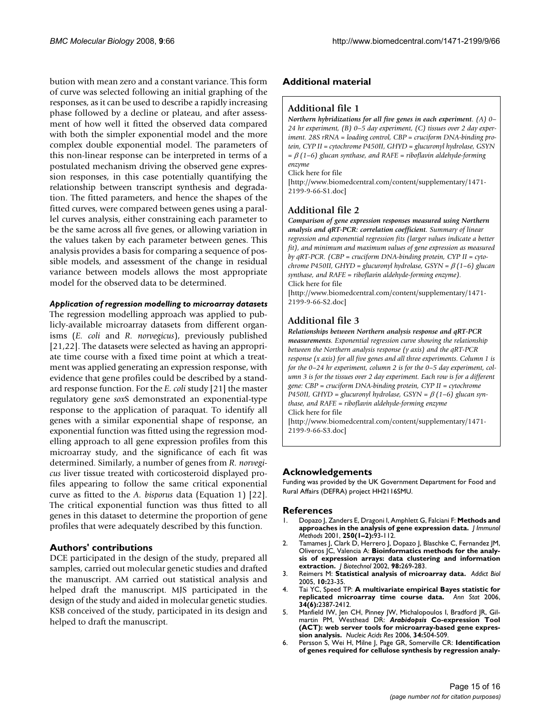bution with mean zero and a constant variance. This form of curve was selected following an initial graphing of the responses, as it can be used to describe a rapidly increasing phase followed by a decline or plateau, and after assessment of how well it fitted the observed data compared with both the simpler exponential model and the more complex double exponential model. The parameters of this non-linear response can be interpreted in terms of a postulated mechanism driving the observed gene expression responses, in this case potentially quantifying the relationship between transcript synthesis and degradation. The fitted parameters, and hence the shapes of the fitted curves, were compared between genes using a parallel curves analysis, either constraining each parameter to be the same across all five genes, or allowing variation in the values taken by each parameter between genes. This analysis provides a basis for comparing a sequence of possible models, and assessment of the change in residual variance between models allows the most appropriate model for the observed data to be determined.

#### *Application of regression modelling to microarray datasets*

The regression modelling approach was applied to publicly-available microarray datasets from different organisms (*E. coli* and *R. norvegicus*), previously published [[21](#page-15-13),[22\]](#page-15-14). The datasets were selected as having an appropriate time course with a fixed time point at which a treatment was applied generating an expression response, with evidence that gene profiles could be described by a standard response function. For the *E. coli* study [\[21\]](#page-15-13) the master regulatory gene *sox*S demonstrated an exponential-type response to the application of paraquat. To identify all genes with a similar exponential shape of response, an exponential function was fitted using the regression modelling approach to all gene expression profiles from this microarray study, and the significance of each fit was determined. Similarly, a number of genes from *R. norvegicus* liver tissue treated with corticosteroid displayed profiles appearing to follow the same critical exponential curve as fitted to the *A. bisporus* data (Equation 1) [\[22](#page-15-14)]. The critical exponential function was thus fitted to all genes in this dataset to determine the proportion of gene profiles that were adequately described by this function.

#### **Authors' contributions**

DCE participated in the design of the study, prepared all samples, carried out molecular genetic studies and drafted the manuscript. AM carried out statistical analysis and helped draft the manuscript. MJS participated in the design of the study and aided in molecular genetic studies. KSB conceived of the study, participated in its design and helped to draft the manuscript.

#### **Additional material**

#### <span id="page-14-5"></span>**Additional file 1**

*Northern hybridizations for all five genes in each experiment. (A) 0– 24 hr experiment, (B) 0–5 day experiment, (C) tissues over 2 day experiment. 28S rRNA = loading control, CBP = cruciform DNA-binding protein, CYP II = cytochrome P450II, GHYD = glucuronyl hydrolase, GSYN =* β *(1–6) glucan synthase, and RAFE = riboflavin aldehyde-forming enzyme*

Click here for file

[\[http://www.biomedcentral.com/content/supplementary/1471-](http://www.biomedcentral.com/content/supplementary/1471-2199-9-66-S1.doc) 2199-9-66-S1.doc]

## <span id="page-14-6"></span>**Additional file 2**

*Comparison of gene expression responses measured using Northern analysis and qRT-PCR: correlation coefficient. Summary of linear regression and exponential regression fits (larger values indicate a better fit), and minimum and maximum values of gene expression as measured by qRT-PCR. (CBP = cruciform DNA-binding protein, CYP II = cytochrome P450II, GHYD = glucuronyl hydrolase, GSYN =* β *(1–6) glucan synthase, and RAFE = riboflavin aldehyde-forming enzyme).* Click here for file

[\[http://www.biomedcentral.com/content/supplementary/1471-](http://www.biomedcentral.com/content/supplementary/1471-2199-9-66-S2.doc) 2199-9-66-S2.doc]

# <span id="page-14-7"></span>**Additional file 3**

*Relationships between Northern analysis response and qRT-PCR measurements. Exponential regression curve showing the relationship between the Northern analysis response (y axis) and the qRT-PCR response (x axis) for all five genes and all three experiments. Column 1 is for the 0–24 hr experiment, column 2 is for the 0–5 day experiment, column 3 is for the tissues over 2 day experiment. Each row is for a different gene: CBP = cruciform DNA-binding protein, CYP II = cytochrome P450II, GHYD = glucuronyl hydrolase, GSYN =* β *(1–6) glucan synthase, and RAFE = riboflavin aldehyde-forming enzyme* Click here for file

[\[http://www.biomedcentral.com/content/supplementary/1471-](http://www.biomedcentral.com/content/supplementary/1471-2199-9-66-S3.doc) 2199-9-66-S3.doc]

#### **Acknowledgements**

Funding was provided by the UK Government Department for Food and Rural Affairs (DEFRA) project HH2116SMU.

#### **References**

- <span id="page-14-0"></span>1. Dopazo J, Zanders E, Dragoni I, Amphlett G, Falciani F: **[Methods and](http://www.ncbi.nlm.nih.gov/entrez/query.fcgi?cmd=Retrieve&db=PubMed&dopt=Abstract&list_uids=11251224) [approaches in the analysis of gene expression data.](http://www.ncbi.nlm.nih.gov/entrez/query.fcgi?cmd=Retrieve&db=PubMed&dopt=Abstract&list_uids=11251224)** *J Immunol Methods* 2001, **250(1–2):**93-112.
- 2. Tamames J, Clark D, Herrero J, Dopazo J, Blaschke C, Fernandez JM, Oliveros JC, Valencia A: **[Bioinformatics methods for the analy](http://www.ncbi.nlm.nih.gov/entrez/query.fcgi?cmd=Retrieve&db=PubMed&dopt=Abstract&list_uids=12141992)[sis of expression arrays: data clustering and information](http://www.ncbi.nlm.nih.gov/entrez/query.fcgi?cmd=Retrieve&db=PubMed&dopt=Abstract&list_uids=12141992) [extraction.](http://www.ncbi.nlm.nih.gov/entrez/query.fcgi?cmd=Retrieve&db=PubMed&dopt=Abstract&list_uids=12141992)** *J Biotechnol* 2002, **98:**269-283.
- <span id="page-14-1"></span>3. Reimers M: **[Statistical analysis of microarray data.](http://www.ncbi.nlm.nih.gov/entrez/query.fcgi?cmd=Retrieve&db=PubMed&dopt=Abstract&list_uids=15849016)** *Addict Biol* 2005, **10:**23-35.
- <span id="page-14-2"></span>4. Tai YC, Speed TP: **A multivariate empirical Bayes statistic for replicated microarray time course data.** *Ann Stat* 2006, **34(6):**2387-2412.
- <span id="page-14-3"></span>5. Manfield IW, Jen CH, Pinney JW, Michalopoulos I, Bradford JR, Gilmartin PM, Westhead DR: *Arabidopsis* **Co-expression Tool (ACT): web server tools for microarray-based gene expression analysis.** *Nucleic Acids Res* 2006, **34:**504-509.
- <span id="page-14-4"></span>6. Persson S, Wei H, Milne J, Page GR, Somerville CR: **[Identification](http://www.ncbi.nlm.nih.gov/entrez/query.fcgi?cmd=Retrieve&db=PubMed&dopt=Abstract&list_uids=15932943) [of genes required for cellulose synthesis by regression analy](http://www.ncbi.nlm.nih.gov/entrez/query.fcgi?cmd=Retrieve&db=PubMed&dopt=Abstract&list_uids=15932943)-**